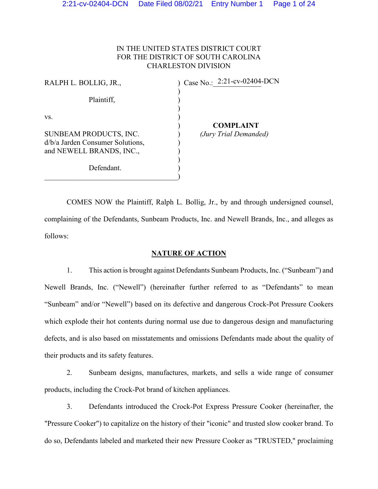# IN THE UNITED STATES DISTRICT COURT FOR THE DISTRICT OF SOUTH CAROLINA CHARLESTON DIVISION

| RALPH L. BOLLIG, JR.,              | $\int$ Case No.: 2:21-cv-02404-DCN |
|------------------------------------|------------------------------------|
| Plaintiff,                         |                                    |
| VS.                                | <b>COMPLAINT</b>                   |
| SUNBEAM PRODUCTS, INC.             | (Jury Trial Demanded)              |
| $d/b/a$ Jarden Consumer Solutions, |                                    |
| and NEWELL BRANDS, INC.,           |                                    |
|                                    |                                    |
| Defendant.                         |                                    |
|                                    |                                    |

COMES NOW the Plaintiff, Ralph L. Bollig, Jr., by and through undersigned counsel, complaining of the Defendants, Sunbeam Products, Inc. and Newell Brands, Inc., and alleges as follows:

### **NATURE OF ACTION**

1. This action is brought against Defendants Sunbeam Products, Inc. ("Sunbeam") and Newell Brands, Inc. ("Newell") (hereinafter further referred to as "Defendants" to mean "Sunbeam" and/or "Newell") based on its defective and dangerous Crock-Pot Pressure Cookers which explode their hot contents during normal use due to dangerous design and manufacturing defects, and is also based on misstatements and omissions Defendants made about the quality of their products and its safety features.

2. Sunbeam designs, manufactures, markets, and sells a wide range of consumer products, including the Crock-Pot brand of kitchen appliances.

3. Defendants introduced the Crock-Pot Express Pressure Cooker (hereinafter, the "Pressure Cooker") to capitalize on the history of their "iconic" and trusted slow cooker brand. To do so, Defendants labeled and marketed their new Pressure Cooker as "TRUSTED," proclaiming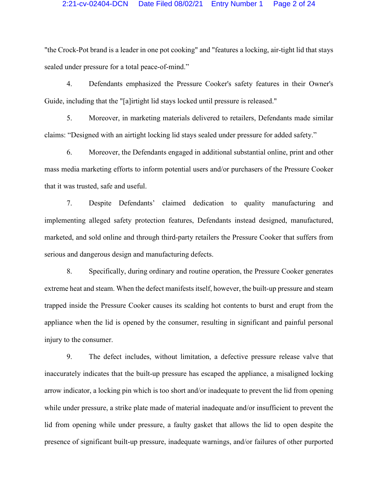"the Crock-Pot brand is a leader in one pot cooking" and "features a locking, air-tight lid that stays sealed under pressure for a total peace-of-mind."

4. Defendants emphasized the Pressure Cooker's safety features in their Owner's Guide, including that the "[a]irtight lid stays locked until pressure is released."

5. Moreover, in marketing materials delivered to retailers, Defendants made similar claims: "Designed with an airtight locking lid stays sealed under pressure for added safety."

6. Moreover, the Defendants engaged in additional substantial online, print and other mass media marketing efforts to inform potential users and/or purchasers of the Pressure Cooker that it was trusted, safe and useful.

7. Despite Defendants' claimed dedication to quality manufacturing and implementing alleged safety protection features, Defendants instead designed, manufactured, marketed, and sold online and through third-party retailers the Pressure Cooker that suffers from serious and dangerous design and manufacturing defects.

8. Specifically, during ordinary and routine operation, the Pressure Cooker generates extreme heat and steam. When the defect manifests itself, however, the built-up pressure and steam trapped inside the Pressure Cooker causes its scalding hot contents to burst and erupt from the appliance when the lid is opened by the consumer, resulting in significant and painful personal injury to the consumer.

9. The defect includes, without limitation, a defective pressure release valve that inaccurately indicates that the built-up pressure has escaped the appliance, a misaligned locking arrow indicator, a locking pin which is too short and/or inadequate to prevent the lid from opening while under pressure, a strike plate made of material inadequate and/or insufficient to prevent the lid from opening while under pressure, a faulty gasket that allows the lid to open despite the presence of significant built-up pressure, inadequate warnings, and/or failures of other purported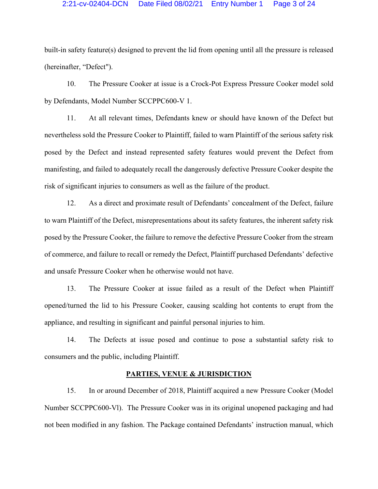built-in safety feature(s) designed to prevent the lid from opening until all the pressure is released (hereinafter, "Defect").

10. The Pressure Cooker at issue is a Crock-Pot Express Pressure Cooker model sold by Defendants, Model Number SCCPPC600-V 1.

11. At all relevant times, Defendants knew or should have known of the Defect but nevertheless sold the Pressure Cooker to Plaintiff, failed to warn Plaintiff of the serious safety risk posed by the Defect and instead represented safety features would prevent the Defect from manifesting, and failed to adequately recall the dangerously defective Pressure Cooker despite the risk of significant injuries to consumers as well as the failure of the product.

12. As a direct and proximate result of Defendants' concealment of the Defect, failure to warn Plaintiff of the Defect, misrepresentations about its safety features, the inherent safety risk posed by the Pressure Cooker, the failure to remove the defective Pressure Cooker from the stream of commerce, and failure to recall or remedy the Defect, Plaintiff purchased Defendants' defective and unsafe Pressure Cooker when he otherwise would not have.

13. The Pressure Cooker at issue failed as a result of the Defect when Plaintiff opened/turned the lid to his Pressure Cooker, causing scalding hot contents to erupt from the appliance, and resulting in significant and painful personal injuries to him.

14. The Defects at issue posed and continue to pose a substantial safety risk to consumers and the public, including Plaintiff.

### **PARTIES, VENUE & JURISDICTION**

15. In or around December of 2018, Plaintiff acquired a new Pressure Cooker (Model Number SCCPPC600-Vl). The Pressure Cooker was in its original unopened packaging and had not been modified in any fashion. The Package contained Defendants' instruction manual, which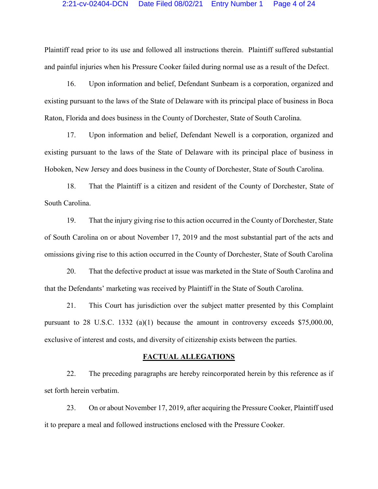Plaintiff read prior to its use and followed all instructions therein. Plaintiff suffered substantial and painful injuries when his Pressure Cooker failed during normal use as a result of the Defect.

16. Upon information and belief, Defendant Sunbeam is a corporation, organized and existing pursuant to the laws of the State of Delaware with its principal place of business in Boca Raton, Florida and does business in the County of Dorchester, State of South Carolina.

17. Upon information and belief, Defendant Newell is a corporation, organized and existing pursuant to the laws of the State of Delaware with its principal place of business in Hoboken, New Jersey and does business in the County of Dorchester, State of South Carolina.

18. That the Plaintiff is a citizen and resident of the County of Dorchester, State of South Carolina.

19. That the injury giving rise to this action occurred in the County of Dorchester, State of South Carolina on or about November 17, 2019 and the most substantial part of the acts and omissions giving rise to this action occurred in the County of Dorchester, State of South Carolina

20. That the defective product at issue was marketed in the State of South Carolina and that the Defendants' marketing was received by Plaintiff in the State of South Carolina.

21. This Court has jurisdiction over the subject matter presented by this Complaint pursuant to 28 U.S.C. 1332 (a)(1) because the amount in controversy exceeds \$75,000.00, exclusive of interest and costs, and diversity of citizenship exists between the parties.

### **FACTUAL ALLEGATIONS**

22. The preceding paragraphs are hereby reincorporated herein by this reference as if set forth herein verbatim.

23. On or about November 17, 2019, after acquiring the Pressure Cooker, Plaintiff used it to prepare a meal and followed instructions enclosed with the Pressure Cooker.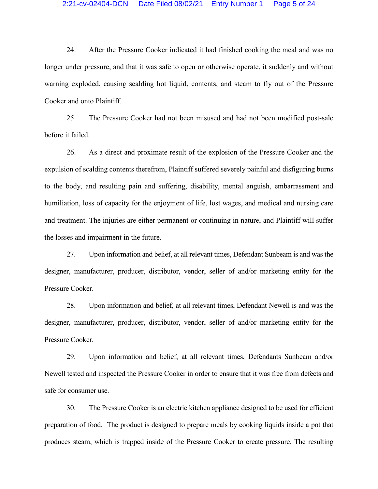24. After the Pressure Cooker indicated it had finished cooking the meal and was no longer under pressure, and that it was safe to open or otherwise operate, it suddenly and without warning exploded, causing scalding hot liquid, contents, and steam to fly out of the Pressure Cooker and onto Plaintiff.

25. The Pressure Cooker had not been misused and had not been modified post-sale before it failed.

26. As a direct and proximate result of the explosion of the Pressure Cooker and the expulsion of scalding contents therefrom, Plaintiff suffered severely painful and disfiguring burns to the body, and resulting pain and suffering, disability, mental anguish, embarrassment and humiliation, loss of capacity for the enjoyment of life, lost wages, and medical and nursing care and treatment. The injuries are either permanent or continuing in nature, and Plaintiff will suffer the losses and impairment in the future.

27. Upon information and belief, at all relevant times, Defendant Sunbeam is and was the designer, manufacturer, producer, distributor, vendor, seller of and/or marketing entity for the Pressure Cooker.

28. Upon information and belief, at all relevant times, Defendant Newell is and was the designer, manufacturer, producer, distributor, vendor, seller of and/or marketing entity for the Pressure Cooker.

29. Upon information and belief, at all relevant times, Defendants Sunbeam and/or Newell tested and inspected the Pressure Cooker in order to ensure that it was free from defects and safe for consumer use.

30. The Pressure Cooker is an electric kitchen appliance designed to be used for efficient preparation of food. The product is designed to prepare meals by cooking liquids inside a pot that produces steam, which is trapped inside of the Pressure Cooker to create pressure. The resulting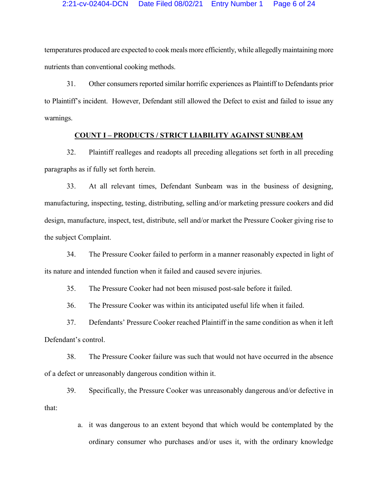temperatures produced are expected to cook meals more efficiently, while allegedly maintaining more nutrients than conventional cooking methods.

31. Other consumers reported similar horrific experiences as Plaintiff to Defendants prior to Plaintiff's incident. However, Defendant still allowed the Defect to exist and failed to issue any warnings.

### **COUNT I – PRODUCTS / STRICT LIABILITY AGAINST SUNBEAM**

32. Plaintiff realleges and readopts all preceding allegations set forth in all preceding paragraphs as if fully set forth herein.

33. At all relevant times, Defendant Sunbeam was in the business of designing, manufacturing, inspecting, testing, distributing, selling and/or marketing pressure cookers and did design, manufacture, inspect, test, distribute, sell and/or market the Pressure Cooker giving rise to the subject Complaint.

34. The Pressure Cooker failed to perform in a manner reasonably expected in light of its nature and intended function when it failed and caused severe injuries.

35. The Pressure Cooker had not been misused post-sale before it failed.

36. The Pressure Cooker was within its anticipated useful life when it failed.

37. Defendants' Pressure Cooker reached Plaintiff in the same condition as when it left Defendant's control.

38. The Pressure Cooker failure was such that would not have occurred in the absence of a defect or unreasonably dangerous condition within it.

39. Specifically, the Pressure Cooker was unreasonably dangerous and/or defective in that:

> a. it was dangerous to an extent beyond that which would be contemplated by the ordinary consumer who purchases and/or uses it, with the ordinary knowledge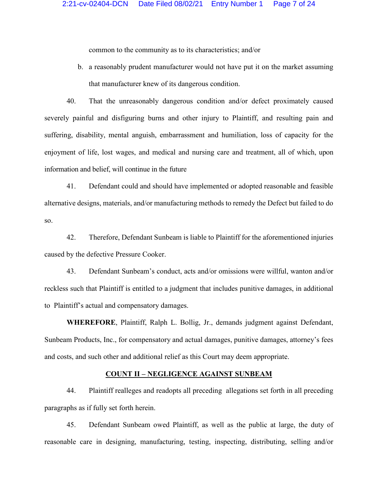common to the community as to its characteristics; and/or

b. a reasonably prudent manufacturer would not have put it on the market assuming that manufacturer knew of its dangerous condition.

40. That the unreasonably dangerous condition and/or defect proximately caused severely painful and disfiguring burns and other injury to Plaintiff, and resulting pain and suffering, disability, mental anguish, embarrassment and humiliation, loss of capacity for the enjoyment of life, lost wages, and medical and nursing care and treatment, all of which, upon information and belief, will continue in the future

41. Defendant could and should have implemented or adopted reasonable and feasible alternative designs, materials, and/or manufacturing methods to remedy the Defect but failed to do so.

42. Therefore, Defendant Sunbeam is liable to Plaintiff for the aforementioned injuries caused by the defective Pressure Cooker.

43. Defendant Sunbeam's conduct, acts and/or omissions were willful, wanton and/or reckless such that Plaintiff is entitled to a judgment that includes punitive damages, in additional to Plaintiff's actual and compensatory damages.

**WHEREFORE**, Plaintiff, Ralph L. Bollig, Jr., demands judgment against Defendant, Sunbeam Products, Inc., for compensatory and actual damages, punitive damages, attorney's fees and costs, and such other and additional relief as this Court may deem appropriate.

### **COUNT II – NEGLIGENCE AGAINST SUNBEAM**

44. Plaintiff realleges and readopts all preceding allegations set forth in all preceding paragraphs as if fully set forth herein.

45. Defendant Sunbeam owed Plaintiff, as well as the public at large, the duty of reasonable care in designing, manufacturing, testing, inspecting, distributing, selling and/or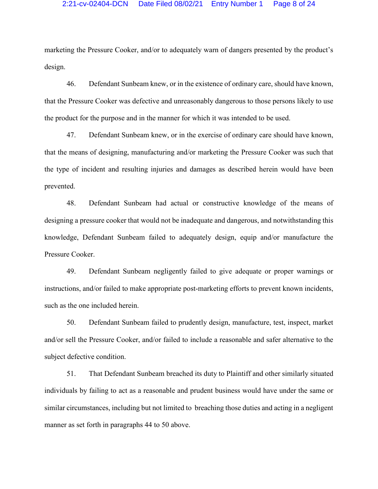marketing the Pressure Cooker, and/or to adequately warn of dangers presented by the product's design.

46. Defendant Sunbeam knew, or in the existence of ordinary care, should have known, that the Pressure Cooker was defective and unreasonably dangerous to those persons likely to use the product for the purpose and in the manner for which it was intended to be used.

47. Defendant Sunbeam knew, or in the exercise of ordinary care should have known, that the means of designing, manufacturing and/or marketing the Pressure Cooker was such that the type of incident and resulting injuries and damages as described herein would have been prevented.

48. Defendant Sunbeam had actual or constructive knowledge of the means of designing a pressure cooker that would not be inadequate and dangerous, and notwithstanding this knowledge, Defendant Sunbeam failed to adequately design, equip and/or manufacture the Pressure Cooker.

49. Defendant Sunbeam negligently failed to give adequate or proper warnings or instructions, and/or failed to make appropriate post-marketing efforts to prevent known incidents, such as the one included herein.

50. Defendant Sunbeam failed to prudently design, manufacture, test, inspect, market and/or sell the Pressure Cooker, and/or failed to include a reasonable and safer alternative to the subject defective condition.

51. That Defendant Sunbeam breached its duty to Plaintiff and other similarly situated individuals by failing to act as a reasonable and prudent business would have under the same or similar circumstances, including but not limited to breaching those duties and acting in a negligent manner as set forth in paragraphs 44 to 50 above.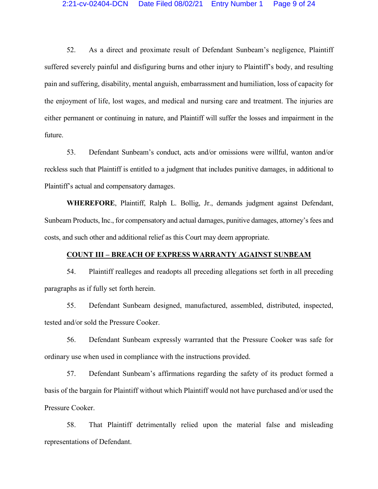52. As a direct and proximate result of Defendant Sunbeam's negligence, Plaintiff suffered severely painful and disfiguring burns and other injury to Plaintiff's body, and resulting pain and suffering, disability, mental anguish, embarrassment and humiliation, loss of capacity for the enjoyment of life, lost wages, and medical and nursing care and treatment. The injuries are either permanent or continuing in nature, and Plaintiff will suffer the losses and impairment in the future.

53. Defendant Sunbeam's conduct, acts and/or omissions were willful, wanton and/or reckless such that Plaintiff is entitled to a judgment that includes punitive damages, in additional to Plaintiff's actual and compensatory damages.

**WHEREFORE**, Plaintiff, Ralph L. Bollig, Jr., demands judgment against Defendant, Sunbeam Products, Inc., for compensatory and actual damages, punitive damages, attorney's fees and costs, and such other and additional relief as this Court may deem appropriate.

## **COUNT III – BREACH OF EXPRESS WARRANTY AGAINST SUNBEAM**

54. Plaintiff realleges and readopts all preceding allegations set forth in all preceding paragraphs as if fully set forth herein.

55. Defendant Sunbeam designed, manufactured, assembled, distributed, inspected, tested and/or sold the Pressure Cooker.

56. Defendant Sunbeam expressly warranted that the Pressure Cooker was safe for ordinary use when used in compliance with the instructions provided.

57. Defendant Sunbeam's affirmations regarding the safety of its product formed a basis of the bargain for Plaintiff without which Plaintiff would not have purchased and/or used the Pressure Cooker.

58. That Plaintiff detrimentally relied upon the material false and misleading representations of Defendant.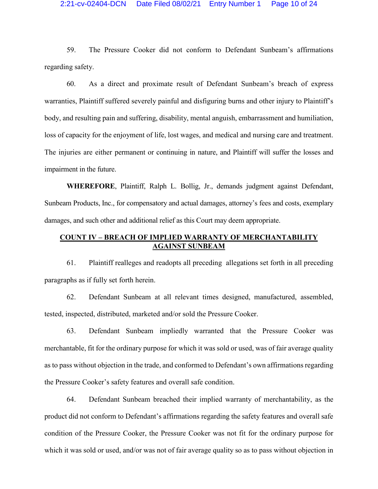#### 2:21-cv-02404-DCN Date Filed 08/02/21 Entry Number 1 Page 10 of 24

59. The Pressure Cooker did not conform to Defendant Sunbeam's affirmations regarding safety.

60. As a direct and proximate result of Defendant Sunbeam's breach of express warranties, Plaintiff suffered severely painful and disfiguring burns and other injury to Plaintiff's body, and resulting pain and suffering, disability, mental anguish, embarrassment and humiliation, loss of capacity for the enjoyment of life, lost wages, and medical and nursing care and treatment. The injuries are either permanent or continuing in nature, and Plaintiff will suffer the losses and impairment in the future.

**WHEREFORE**, Plaintiff, Ralph L. Bollig, Jr., demands judgment against Defendant, Sunbeam Products, Inc., for compensatory and actual damages, attorney's fees and costs, exemplary damages, and such other and additional relief as this Court may deem appropriate.

# **COUNT IV – BREACH OF IMPLIED WARRANTY OF MERCHANTABILITY AGAINST SUNBEAM**

61. Plaintiff realleges and readopts all preceding allegations set forth in all preceding paragraphs as if fully set forth herein.

62. Defendant Sunbeam at all relevant times designed, manufactured, assembled, tested, inspected, distributed, marketed and/or sold the Pressure Cooker.

63. Defendant Sunbeam impliedly warranted that the Pressure Cooker was merchantable, fit for the ordinary purpose for which it was sold or used, was of fair average quality as to pass without objection in the trade, and conformed to Defendant's own affirmations regarding the Pressure Cooker's safety features and overall safe condition.

64. Defendant Sunbeam breached their implied warranty of merchantability, as the product did not conform to Defendant's affirmations regarding the safety features and overall safe condition of the Pressure Cooker, the Pressure Cooker was not fit for the ordinary purpose for which it was sold or used, and/or was not of fair average quality so as to pass without objection in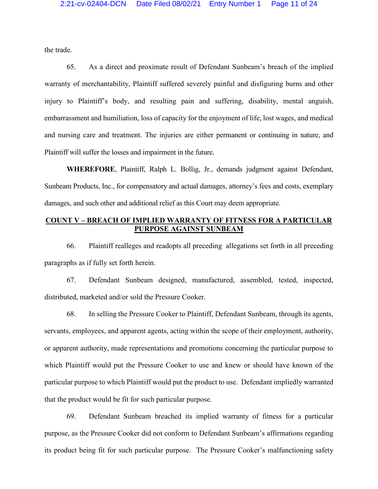the trade.

65. As a direct and proximate result of Defendant Sunbeam's breach of the implied warranty of merchantability, Plaintiff suffered severely painful and disfiguring burns and other injury to Plaintiff's body, and resulting pain and suffering, disability, mental anguish, embarrassment and humiliation, loss of capacity for the enjoyment of life, lost wages, and medical and nursing care and treatment. The injuries are either permanent or continuing in nature, and Plaintiff will suffer the losses and impairment in the future.

**WHEREFORE**, Plaintiff, Ralph L. Bollig, Jr., demands judgment against Defendant, Sunbeam Products, Inc., for compensatory and actual damages, attorney's fees and costs, exemplary damages, and such other and additional relief as this Court may deem appropriate.

# **COUNT V – BREACH OF IMPLIED WARRANTY OF FITNESS FOR A PARTICULAR PURPOSE AGAINST SUNBEAM**

66. Plaintiff realleges and readopts all preceding allegations set forth in all preceding paragraphs as if fully set forth herein.

67. Defendant Sunbeam designed, manufactured, assembled, tested, inspected, distributed, marketed and/or sold the Pressure Cooker.

68. In selling the Pressure Cooker to Plaintiff, Defendant Sunbeam, through its agents, servants, employees, and apparent agents, acting within the scope of their employment, authority, or apparent authority, made representations and promotions concerning the particular purpose to which Plaintiff would put the Pressure Cooker to use and knew or should have known of the particular purpose to which Plaintiff would put the product to use. Defendant impliedly warranted that the product would be fit for such particular purpose.

69. Defendant Sunbeam breached its implied warranty of fitness for a particular purpose, as the Pressure Cooker did not conform to Defendant Sunbeam's affirmations regarding its product being fit for such particular purpose. The Pressure Cooker's malfunctioning safety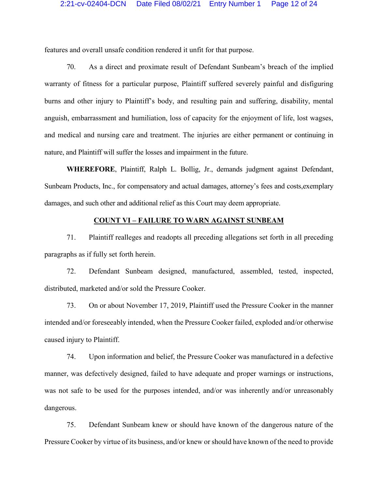features and overall unsafe condition rendered it unfit for that purpose.

70. As a direct and proximate result of Defendant Sunbeam's breach of the implied warranty of fitness for a particular purpose, Plaintiff suffered severely painful and disfiguring burns and other injury to Plaintiff's body, and resulting pain and suffering, disability, mental anguish, embarrassment and humiliation, loss of capacity for the enjoyment of life, lost wagses, and medical and nursing care and treatment. The injuries are either permanent or continuing in nature, and Plaintiff will suffer the losses and impairment in the future.

**WHEREFORE**, Plaintiff, Ralph L. Bollig, Jr., demands judgment against Defendant, Sunbeam Products, Inc., for compensatory and actual damages, attorney's fees and costs,exemplary damages, and such other and additional relief as this Court may deem appropriate.

## **COUNT VI – FAILURE TO WARN AGAINST SUNBEAM**

71. Plaintiff realleges and readopts all preceding allegations set forth in all preceding paragraphs as if fully set forth herein.

72. Defendant Sunbeam designed, manufactured, assembled, tested, inspected, distributed, marketed and/or sold the Pressure Cooker.

73. On or about November 17, 2019, Plaintiff used the Pressure Cooker in the manner intended and/or foreseeably intended, when the Pressure Cooker failed, exploded and/or otherwise caused injury to Plaintiff.

74. Upon information and belief, the Pressure Cooker was manufactured in a defective manner, was defectively designed, failed to have adequate and proper warnings or instructions, was not safe to be used for the purposes intended, and/or was inherently and/or unreasonably dangerous.

75. Defendant Sunbeam knew or should have known of the dangerous nature of the Pressure Cooker by virtue of its business, and/or knew or should have known of the need to provide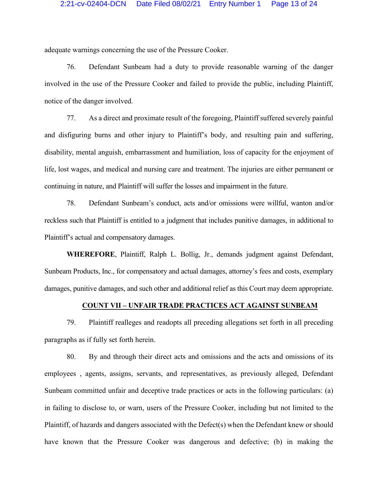adequate warnings concerning the use of the Pressure Cooker.

76. Defendant Sunbeam had a duty to provide reasonable warning of the danger involved in the use of the Pressure Cooker and failed to provide the public, including Plaintiff, notice of the danger involved.

77. As a direct and proximate result of the foregoing, Plaintiff suffered severely painful and disfiguring burns and other injury to Plaintiff's body, and resulting pain and suffering, disability, mental anguish, embarrassment and humiliation, loss of capacity for the enjoyment of life, lost wages, and medical and nursing care and treatment. The injuries are either permanent or continuing in nature, and Plaintiff will suffer the losses and impairment in the future.

78. Defendant Sunbeam's conduct, acts and/or omissions were willful, wanton and/or reckless such that Plaintiff is entitled to a judgment that includes punitive damages, in additional to Plaintiff's actual and compensatory damages.

**WHEREFORE**, Plaintiff, Ralph L. Bollig, Jr., demands judgment against Defendant, Sunbeam Products, Inc., for compensatory and actual damages, attorney's fees and costs, exemplary damages, punitive damages, and such other and additional relief as this Court may deem appropriate.

# **COUNT VII – UNFAIR TRADE PRACTICES ACT AGAINST SUNBEAM**

79. Plaintiff realleges and readopts all preceding allegations set forth in all preceding paragraphs as if fully set forth herein.

80. By and through their direct acts and omissions and the acts and omissions of its employees , agents, assigns, servants, and representatives, as previously alleged, Defendant Sunbeam committed unfair and deceptive trade practices or acts in the following particulars: (a) in failing to disclose to, or warn, users of the Pressure Cooker, including but not limited to the Plaintiff, of hazards and dangers associated with the Defect(s) when the Defendant knew or should have known that the Pressure Cooker was dangerous and defective; (b) in making the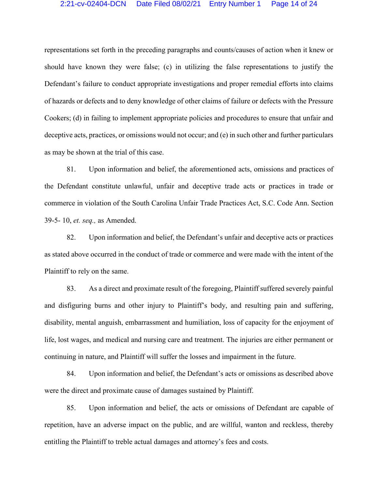#### 2:21-cv-02404-DCN Date Filed 08/02/21 Entry Number 1 Page 14 of 24

representations set forth in the preceding paragraphs and counts/causes of action when it knew or should have known they were false; (c) in utilizing the false representations to justify the Defendant's failure to conduct appropriate investigations and proper remedial efforts into claims of hazards or defects and to deny knowledge of other claims of failure or defects with the Pressure Cookers; (d) in failing to implement appropriate policies and procedures to ensure that unfair and deceptive acts, practices, or omissions would not occur; and (e) in such other and further particulars as may be shown at the trial of this case.

81. Upon information and belief, the aforementioned acts, omissions and practices of the Defendant constitute unlawful, unfair and deceptive trade acts or practices in trade or commerce in violation of the South Carolina Unfair Trade Practices Act, S.C. Code Ann. Section 39-5- 10, *et. seq.,* as Amended.

82. Upon information and belief, the Defendant's unfair and deceptive acts or practices as stated above occurred in the conduct of trade or commerce and were made with the intent of the Plaintiff to rely on the same.

83. As a direct and proximate result of the foregoing, Plaintiff suffered severely painful and disfiguring burns and other injury to Plaintiff's body, and resulting pain and suffering, disability, mental anguish, embarrassment and humiliation, loss of capacity for the enjoyment of life, lost wages, and medical and nursing care and treatment. The injuries are either permanent or continuing in nature, and Plaintiff will suffer the losses and impairment in the future.

84. Upon information and belief, the Defendant's acts or omissions as described above were the direct and proximate cause of damages sustained by Plaintiff.

85. Upon information and belief, the acts or omissions of Defendant are capable of repetition, have an adverse impact on the public, and are willful, wanton and reckless, thereby entitling the Plaintiff to treble actual damages and attorney's fees and costs.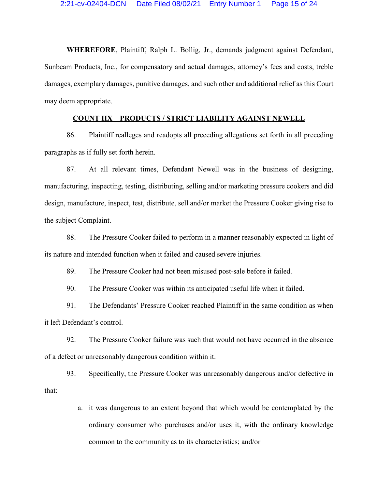**WHEREFORE**, Plaintiff, Ralph L. Bollig, Jr., demands judgment against Defendant, Sunbeam Products, Inc., for compensatory and actual damages, attorney's fees and costs, treble damages, exemplary damages, punitive damages, and such other and additional relief as this Court may deem appropriate.

# **COUNT IIX – PRODUCTS / STRICT LIABILITY AGAINST NEWELL**

86. Plaintiff realleges and readopts all preceding allegations set forth in all preceding paragraphs as if fully set forth herein.

87. At all relevant times, Defendant Newell was in the business of designing, manufacturing, inspecting, testing, distributing, selling and/or marketing pressure cookers and did design, manufacture, inspect, test, distribute, sell and/or market the Pressure Cooker giving rise to the subject Complaint.

88. The Pressure Cooker failed to perform in a manner reasonably expected in light of its nature and intended function when it failed and caused severe injuries.

89. The Pressure Cooker had not been misused post-sale before it failed.

90. The Pressure Cooker was within its anticipated useful life when it failed.

91. The Defendants' Pressure Cooker reached Plaintiff in the same condition as when it left Defendant's control.

92. The Pressure Cooker failure was such that would not have occurred in the absence of a defect or unreasonably dangerous condition within it.

93. Specifically, the Pressure Cooker was unreasonably dangerous and/or defective in that:

> a. it was dangerous to an extent beyond that which would be contemplated by the ordinary consumer who purchases and/or uses it, with the ordinary knowledge common to the community as to its characteristics; and/or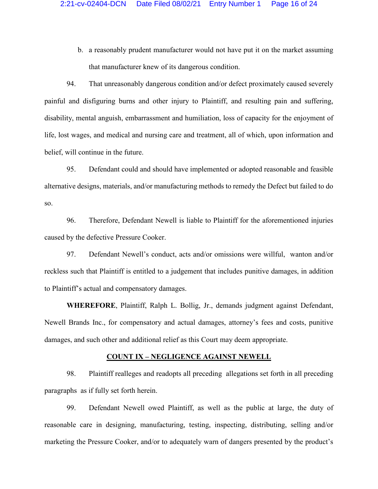b. a reasonably prudent manufacturer would not have put it on the market assuming that manufacturer knew of its dangerous condition.

94. That unreasonably dangerous condition and/or defect proximately caused severely painful and disfiguring burns and other injury to Plaintiff, and resulting pain and suffering, disability, mental anguish, embarrassment and humiliation, loss of capacity for the enjoyment of life, lost wages, and medical and nursing care and treatment, all of which, upon information and belief, will continue in the future.

95. Defendant could and should have implemented or adopted reasonable and feasible alternative designs, materials, and/or manufacturing methods to remedy the Defect but failed to do so.

96. Therefore, Defendant Newell is liable to Plaintiff for the aforementioned injuries caused by the defective Pressure Cooker.

97. Defendant Newell's conduct, acts and/or omissions were willful, wanton and/or reckless such that Plaintiff is entitled to a judgement that includes punitive damages, in addition to Plaintiff's actual and compensatory damages.

**WHEREFORE**, Plaintiff, Ralph L. Bollig, Jr., demands judgment against Defendant, Newell Brands Inc., for compensatory and actual damages, attorney's fees and costs, punitive damages, and such other and additional relief as this Court may deem appropriate.

#### **COUNT IX – NEGLIGENCE AGAINST NEWELL**

98. Plaintiff realleges and readopts all preceding allegations set forth in all preceding paragraphs as if fully set forth herein.

99. Defendant Newell owed Plaintiff, as well as the public at large, the duty of reasonable care in designing, manufacturing, testing, inspecting, distributing, selling and/or marketing the Pressure Cooker, and/or to adequately warn of dangers presented by the product's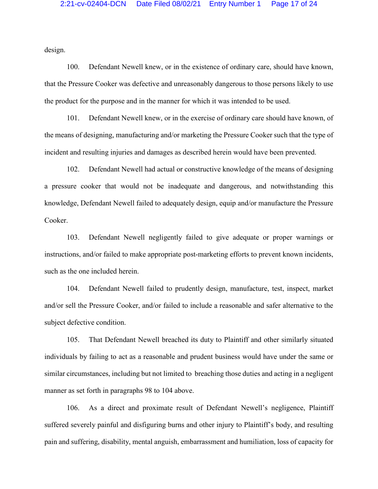design.

100. Defendant Newell knew, or in the existence of ordinary care, should have known, that the Pressure Cooker was defective and unreasonably dangerous to those persons likely to use the product for the purpose and in the manner for which it was intended to be used.

101. Defendant Newell knew, or in the exercise of ordinary care should have known, of the means of designing, manufacturing and/or marketing the Pressure Cooker such that the type of incident and resulting injuries and damages as described herein would have been prevented.

102. Defendant Newell had actual or constructive knowledge of the means of designing a pressure cooker that would not be inadequate and dangerous, and notwithstanding this knowledge, Defendant Newell failed to adequately design, equip and/or manufacture the Pressure Cooker.

103. Defendant Newell negligently failed to give adequate or proper warnings or instructions, and/or failed to make appropriate post-marketing efforts to prevent known incidents, such as the one included herein.

104. Defendant Newell failed to prudently design, manufacture, test, inspect, market and/or sell the Pressure Cooker, and/or failed to include a reasonable and safer alternative to the subject defective condition.

105. That Defendant Newell breached its duty to Plaintiff and other similarly situated individuals by failing to act as a reasonable and prudent business would have under the same or similar circumstances, including but not limited to breaching those duties and acting in a negligent manner as set forth in paragraphs 98 to 104 above.

106. As a direct and proximate result of Defendant Newell's negligence, Plaintiff suffered severely painful and disfiguring burns and other injury to Plaintiff's body, and resulting pain and suffering, disability, mental anguish, embarrassment and humiliation, loss of capacity for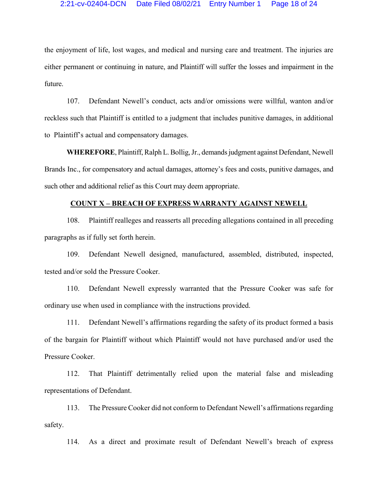the enjoyment of life, lost wages, and medical and nursing care and treatment. The injuries are either permanent or continuing in nature, and Plaintiff will suffer the losses and impairment in the future.

107. Defendant Newell's conduct, acts and/or omissions were willful, wanton and/or reckless such that Plaintiff is entitled to a judgment that includes punitive damages, in additional to Plaintiff's actual and compensatory damages.

**WHEREFORE**, Plaintiff, Ralph L. Bollig, Jr., demands judgment against Defendant, Newell Brands Inc., for compensatory and actual damages, attorney's fees and costs, punitive damages, and such other and additional relief as this Court may deem appropriate.

## **COUNT X – BREACH OF EXPRESS WARRANTY AGAINST NEWELL**

108. Plaintiff realleges and reasserts all preceding allegations contained in all preceding paragraphs as if fully set forth herein.

109. Defendant Newell designed, manufactured, assembled, distributed, inspected, tested and/or sold the Pressure Cooker.

110. Defendant Newell expressly warranted that the Pressure Cooker was safe for ordinary use when used in compliance with the instructions provided.

111. Defendant Newell's affirmations regarding the safety of its product formed a basis of the bargain for Plaintiff without which Plaintiff would not have purchased and/or used the Pressure Cooker.

112. That Plaintiff detrimentally relied upon the material false and misleading representations of Defendant.

113. The Pressure Cooker did not conform to Defendant Newell's affirmations regarding safety.

114. As a direct and proximate result of Defendant Newell's breach of express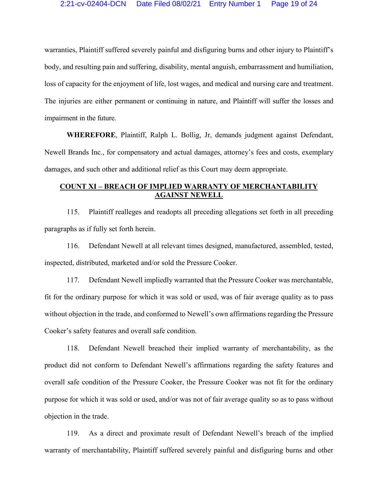warranties, Plaintiff suffered severely painful and disfiguring burns and other injury to Plaintiff's body, and resulting pain and suffering, disability, mental anguish, embarrassment and humiliation, loss of capacity for the enjoyment of life, lost wages, and medical and nursing care and treatment. The injuries are either permanent or continuing in nature, and Plaintiff will suffer the losses and impairment in the future.

**WHEREFORE**, Plaintiff, Ralph L. Bollig, Jr, demands judgment against Defendant, Newell Brands Inc., for compensatory and actual damages, attorney's fees and costs, exemplary damages, and such other and additional relief as this Court may deem appropriate.

# **COUNT XI – BREACH OF IMPLIED WARRANTY OF MERCHANTABILITY AGAINST NEWELL**

115. Plaintiff realleges and readopts all preceding allegations set forth in all preceding paragraphs as if fully set forth herein.

116. Defendant Newell at all relevant times designed, manufactured, assembled, tested, inspected, distributed, marketed and/or sold the Pressure Cooker.

117. Defendant Newell impliedly warranted that the Pressure Cooker was merchantable, fit for the ordinary purpose for which it was sold or used, was of fair average quality as to pass without objection in the trade, and conformed to Newell's own affirmations regarding the Pressure Cooker's safety features and overall safe condition.

118. Defendant Newell breached their implied warranty of merchantability, as the product did not conform to Defendant Newell's affirmations regarding the safety features and overall safe condition of the Pressure Cooker, the Pressure Cooker was not fit for the ordinary purpose for which it was sold or used, and/or was not of fair average quality so as to pass without objection in the trade.

119. As a direct and proximate result of Defendant Newell's breach of the implied warranty of merchantability, Plaintiff suffered severely painful and disfiguring burns and other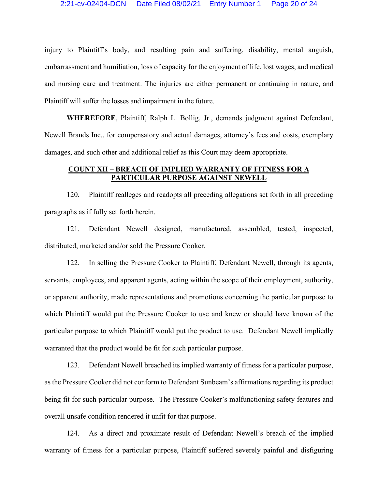injury to Plaintiff's body, and resulting pain and suffering, disability, mental anguish, embarrassment and humiliation, loss of capacity for the enjoyment of life, lost wages, and medical and nursing care and treatment. The injuries are either permanent or continuing in nature, and Plaintiff will suffer the losses and impairment in the future.

**WHEREFORE**, Plaintiff, Ralph L. Bollig, Jr., demands judgment against Defendant, Newell Brands Inc., for compensatory and actual damages, attorney's fees and costs, exemplary damages, and such other and additional relief as this Court may deem appropriate.

# **COUNT XII – BREACH OF IMPLIED WARRANTY OF FITNESS FOR A PARTICULAR PURPOSE AGAINST NEWELL**

120. Plaintiff realleges and readopts all preceding allegations set forth in all preceding paragraphs as if fully set forth herein.

121. Defendant Newell designed, manufactured, assembled, tested, inspected, distributed, marketed and/or sold the Pressure Cooker.

122. In selling the Pressure Cooker to Plaintiff, Defendant Newell, through its agents, servants, employees, and apparent agents, acting within the scope of their employment, authority, or apparent authority, made representations and promotions concerning the particular purpose to which Plaintiff would put the Pressure Cooker to use and knew or should have known of the particular purpose to which Plaintiff would put the product to use. Defendant Newell impliedly warranted that the product would be fit for such particular purpose.

123. Defendant Newell breached its implied warranty of fitness for a particular purpose, as the Pressure Cooker did not conform to Defendant Sunbeam's affirmations regarding its product being fit for such particular purpose. The Pressure Cooker's malfunctioning safety features and overall unsafe condition rendered it unfit for that purpose.

124. As a direct and proximate result of Defendant Newell's breach of the implied warranty of fitness for a particular purpose, Plaintiff suffered severely painful and disfiguring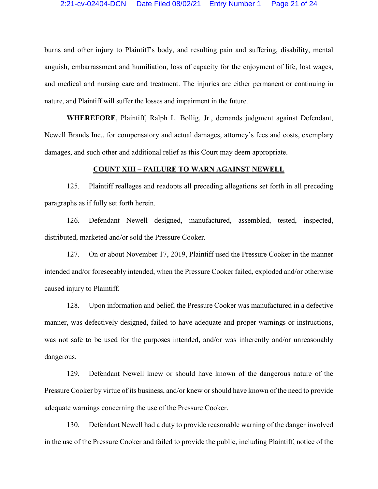burns and other injury to Plaintiff's body, and resulting pain and suffering, disability, mental anguish, embarrassment and humiliation, loss of capacity for the enjoyment of life, lost wages, and medical and nursing care and treatment. The injuries are either permanent or continuing in nature, and Plaintiff will suffer the losses and impairment in the future.

**WHEREFORE**, Plaintiff, Ralph L. Bollig, Jr., demands judgment against Defendant, Newell Brands Inc., for compensatory and actual damages, attorney's fees and costs, exemplary damages, and such other and additional relief as this Court may deem appropriate.

### **COUNT XIII – FAILURE TO WARN AGAINST NEWELL**

125. Plaintiff realleges and readopts all preceding allegations set forth in all preceding paragraphs as if fully set forth herein.

126. Defendant Newell designed, manufactured, assembled, tested, inspected, distributed, marketed and/or sold the Pressure Cooker.

127. On or about November 17, 2019, Plaintiff used the Pressure Cooker in the manner intended and/or foreseeably intended, when the Pressure Cooker failed, exploded and/or otherwise caused injury to Plaintiff.

128. Upon information and belief, the Pressure Cooker was manufactured in a defective manner, was defectively designed, failed to have adequate and proper warnings or instructions, was not safe to be used for the purposes intended, and/or was inherently and/or unreasonably dangerous.

129. Defendant Newell knew or should have known of the dangerous nature of the Pressure Cooker by virtue of its business, and/or knew or should have known of the need to provide adequate warnings concerning the use of the Pressure Cooker.

130. Defendant Newell had a duty to provide reasonable warning of the danger involved in the use of the Pressure Cooker and failed to provide the public, including Plaintiff, notice of the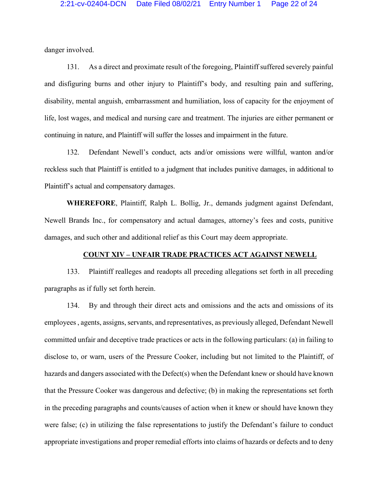danger involved.

131. As a direct and proximate result of the foregoing, Plaintiff suffered severely painful and disfiguring burns and other injury to Plaintiff's body, and resulting pain and suffering, disability, mental anguish, embarrassment and humiliation, loss of capacity for the enjoyment of life, lost wages, and medical and nursing care and treatment. The injuries are either permanent or continuing in nature, and Plaintiff will suffer the losses and impairment in the future.

132. Defendant Newell's conduct, acts and/or omissions were willful, wanton and/or reckless such that Plaintiff is entitled to a judgment that includes punitive damages, in additional to Plaintiff's actual and compensatory damages.

**WHEREFORE**, Plaintiff, Ralph L. Bollig, Jr., demands judgment against Defendant, Newell Brands Inc., for compensatory and actual damages, attorney's fees and costs, punitive damages, and such other and additional relief as this Court may deem appropriate.

# **COUNT XIV – UNFAIR TRADE PRACTICES ACT AGAINST NEWELL**

133. Plaintiff realleges and readopts all preceding allegations set forth in all preceding paragraphs as if fully set forth herein.

134. By and through their direct acts and omissions and the acts and omissions of its employees , agents, assigns, servants, and representatives, as previously alleged, Defendant Newell committed unfair and deceptive trade practices or acts in the following particulars: (a) in failing to disclose to, or warn, users of the Pressure Cooker, including but not limited to the Plaintiff, of hazards and dangers associated with the Defect(s) when the Defendant knew or should have known that the Pressure Cooker was dangerous and defective; (b) in making the representations set forth in the preceding paragraphs and counts/causes of action when it knew or should have known they were false; (c) in utilizing the false representations to justify the Defendant's failure to conduct appropriate investigations and proper remedial efforts into claims of hazards or defects and to deny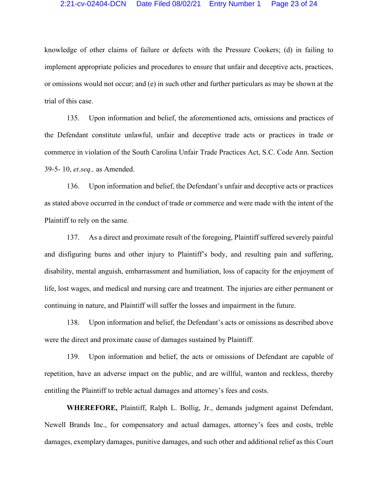#### 2:21-cv-02404-DCN Date Filed 08/02/21 Entry Number 1 Page 23 of 24

knowledge of other claims of failure or defects with the Pressure Cookers; (d) in failing to implement appropriate policies and procedures to ensure that unfair and deceptive acts, practices, or omissions would not occur; and (e) in such other and further particulars as may be shown at the trial of this case.

135. Upon information and belief, the aforementioned acts, omissions and practices of the Defendant constitute unlawful, unfair and deceptive trade acts or practices in trade or commerce in violation of the South Carolina Unfair Trade Practices Act, S.C. Code Ann. Section 39-5- 10, *et.seq.,* as Amended.

136. Upon information and belief, the Defendant's unfair and deceptive acts or practices as stated above occurred in the conduct of trade or commerce and were made with the intent of the Plaintiff to rely on the same.

137. As a direct and proximate result of the foregoing, Plaintiff suffered severely painful and disfiguring burns and other injury to Plaintiff's body, and resulting pain and suffering, disability, mental anguish, embarrassment and humiliation, loss of capacity for the enjoyment of life, lost wages, and medical and nursing care and treatment. The injuries are either permanent or continuing in nature, and Plaintiff will suffer the losses and impairment in the future.

138. Upon information and belief, the Defendant's acts or omissions as described above were the direct and proximate cause of damages sustained by Plaintiff.

139. Upon information and belief, the acts or omissions of Defendant are capable of repetition, have an adverse impact on the public, and are willful, wanton and reckless, thereby entitling the Plaintiff to treble actual damages and attorney's fees and costs.

**WHEREFORE,** Plaintiff, Ralph L. Bollig, Jr., demands judgment against Defendant, Newell Brands Inc., for compensatory and actual damages, attorney's fees and costs, treble damages, exemplary damages, punitive damages, and such other and additional relief as this Court